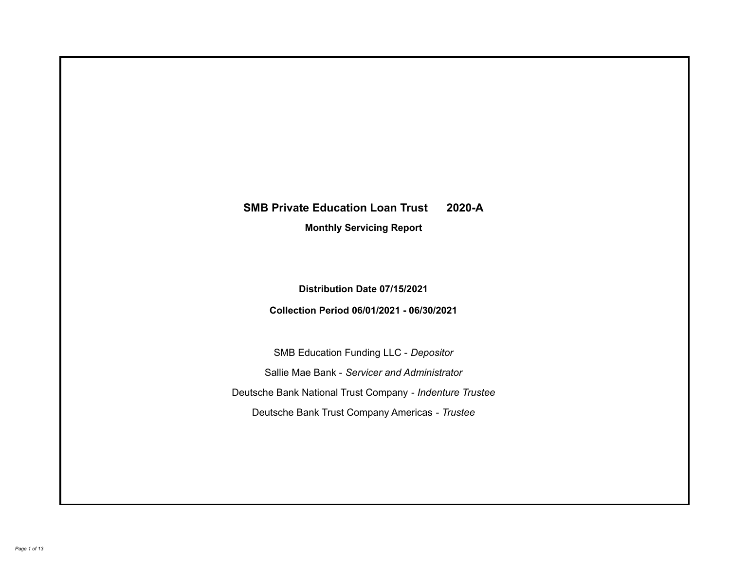# **SMB Private Education Loan Trust 2020-A**

**Monthly Servicing Report**

**Distribution Date 07/15/2021**

**Collection Period 06/01/2021 - 06/30/2021**

SMB Education Funding LLC - *Depositor* Sallie Mae Bank - *Servicer and Administrator* Deutsche Bank National Trust Company - *Indenture Trustee* Deutsche Bank Trust Company Americas - *Trustee*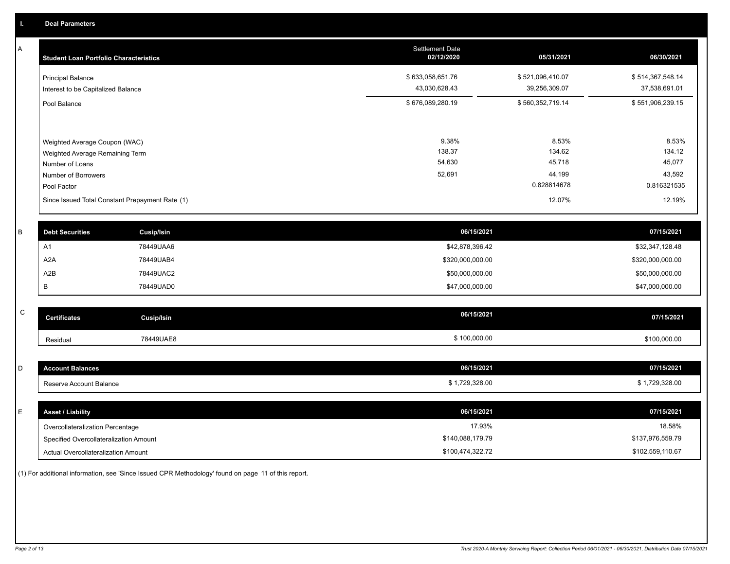A

| <b>Student Loan Portfolio Characteristics</b>                                                                             | <b>Settlement Date</b><br>02/12/2020 | 05/31/2021                                         | 06/30/2021                                         |
|---------------------------------------------------------------------------------------------------------------------------|--------------------------------------|----------------------------------------------------|----------------------------------------------------|
| <b>Principal Balance</b><br>Interest to be Capitalized Balance                                                            | \$633,058,651.76<br>43,030,628.43    | \$521,096,410.07<br>39,256,309.07                  | \$514,367,548.14<br>37,538,691.01                  |
| Pool Balance                                                                                                              | \$676,089,280.19                     | \$560,352,719.14                                   | \$551,906,239.15                                   |
| Weighted Average Coupon (WAC)<br>Weighted Average Remaining Term<br>Number of Loans<br>Number of Borrowers<br>Pool Factor | 9.38%<br>138.37<br>54,630<br>52,691  | 8.53%<br>134.62<br>45,718<br>44,199<br>0.828814678 | 8.53%<br>134.12<br>45,077<br>43,592<br>0.816321535 |
| Since Issued Total Constant Prepayment Rate (1)                                                                           |                                      | 12.07%                                             | 12.19%                                             |

| <b>Debt Securities</b> | <b>Cusip/Isin</b> | 06/15/2021       | 07/15/2021       |
|------------------------|-------------------|------------------|------------------|
| A <sup>1</sup>         | 78449UAA6         | \$42,878,396.42  | \$32,347,128.48  |
| A2A                    | 78449UAB4         | \$320,000,000.00 | \$320,000,000.00 |
| A2B                    | 78449UAC2         | \$50,000,000.00  | \$50,000,000.00  |
|                        | 78449UAD0         | \$47,000,000.00  | \$47,000,000.00  |

| $\sim$<br>◡ | <b>Certificates</b> | Cusip/Isin | 06/15/2021   | 07/15/2021   |
|-------------|---------------------|------------|--------------|--------------|
|             | Residual            | 78449UAE8  | \$100,000.00 | \$100,000.00 |

| D | <b>Account Balances</b>          | 06/15/2021     | 07/15/2021     |
|---|----------------------------------|----------------|----------------|
|   | Reserve Account Balance          | \$1,729,328.00 | \$1,729,328.00 |
|   |                                  |                |                |
| Е | <b>Asset / Liability</b>         | 06/15/2021     | 07/15/2021     |
|   | Overcollateralization Percentage | 17.93%         | 18.58%         |

\$140,088,179.79

Actual Overcollateralization Amount \$100,474,322.72 Specified Overcollateralization Amount

(1) For additional information, see 'Since Issued CPR Methodology' found on page 11 of this report.

\$102,559,110.67 \$137,976,559.79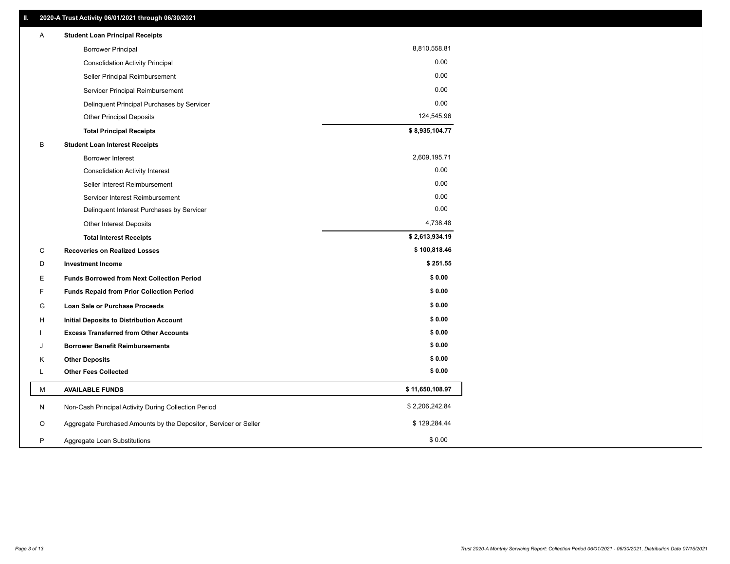| Α | <b>Student Loan Principal Receipts</b>                           |                 |
|---|------------------------------------------------------------------|-----------------|
|   | <b>Borrower Principal</b>                                        | 8,810,558.81    |
|   | <b>Consolidation Activity Principal</b>                          | 0.00            |
|   | Seller Principal Reimbursement                                   | 0.00            |
|   | Servicer Principal Reimbursement                                 | 0.00            |
|   | Delinquent Principal Purchases by Servicer                       | 0.00            |
|   | Other Principal Deposits                                         | 124,545.96      |
|   | <b>Total Principal Receipts</b>                                  | \$8,935,104.77  |
| B | <b>Student Loan Interest Receipts</b>                            |                 |
|   | <b>Borrower Interest</b>                                         | 2,609,195.71    |
|   | <b>Consolidation Activity Interest</b>                           | 0.00            |
|   | Seller Interest Reimbursement                                    | 0.00            |
|   | Servicer Interest Reimbursement                                  | 0.00            |
|   | Delinquent Interest Purchases by Servicer                        | 0.00            |
|   | Other Interest Deposits                                          | 4,738.48        |
|   | <b>Total Interest Receipts</b>                                   | \$2,613,934.19  |
| C | <b>Recoveries on Realized Losses</b>                             | \$100,818.46    |
| D | <b>Investment Income</b>                                         | \$251.55        |
| Е | <b>Funds Borrowed from Next Collection Period</b>                | \$0.00          |
| F | <b>Funds Repaid from Prior Collection Period</b>                 | \$0.00          |
| G | Loan Sale or Purchase Proceeds                                   | \$0.00          |
| н | Initial Deposits to Distribution Account                         | \$0.00          |
|   | <b>Excess Transferred from Other Accounts</b>                    | \$0.00          |
| J | <b>Borrower Benefit Reimbursements</b>                           | \$0.00          |
| Κ | <b>Other Deposits</b>                                            | \$0.00          |
| Г | <b>Other Fees Collected</b>                                      | \$0.00          |
| м | <b>AVAILABLE FUNDS</b>                                           | \$11,650,108.97 |
| N | Non-Cash Principal Activity During Collection Period             | \$2,206,242.84  |
| O | Aggregate Purchased Amounts by the Depositor, Servicer or Seller | \$129,284.44    |
| P | Aggregate Loan Substitutions                                     | \$0.00          |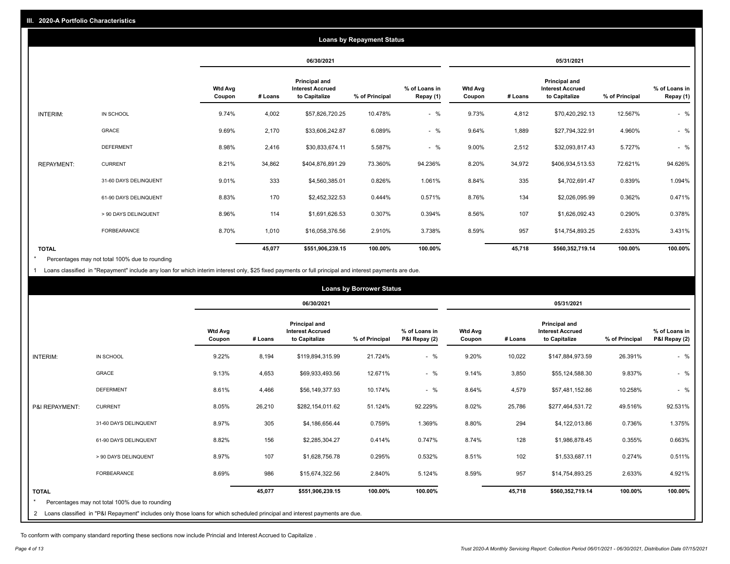|                   | <b>Loans by Repayment Status</b> |                          |         |                                                           |                |                            |                          |         |                                                           |                |                            |
|-------------------|----------------------------------|--------------------------|---------|-----------------------------------------------------------|----------------|----------------------------|--------------------------|---------|-----------------------------------------------------------|----------------|----------------------------|
|                   |                                  |                          |         | 06/30/2021                                                |                |                            |                          |         | 05/31/2021                                                |                |                            |
|                   |                                  | <b>Wtd Avg</b><br>Coupon | # Loans | Principal and<br><b>Interest Accrued</b><br>to Capitalize | % of Principal | % of Loans in<br>Repay (1) | <b>Wtd Avg</b><br>Coupon | # Loans | Principal and<br><b>Interest Accrued</b><br>to Capitalize | % of Principal | % of Loans in<br>Repay (1) |
| INTERIM:          | IN SCHOOL                        | 9.74%                    | 4,002   | \$57,826,720.25                                           | 10.478%        | $-$ %                      | 9.73%                    | 4,812   | \$70,420,292.13                                           | 12.567%        | $-$ %                      |
|                   | GRACE                            | 9.69%                    | 2,170   | \$33,606,242.87                                           | 6.089%         | $-$ %                      | 9.64%                    | 1,889   | \$27,794,322.91                                           | 4.960%         | $-$ %                      |
|                   | <b>DEFERMENT</b>                 | 8.98%                    | 2,416   | \$30,833,674.11                                           | 5.587%         | $-$ %                      | 9.00%                    | 2,512   | \$32,093,817.43                                           | 5.727%         | $-$ %                      |
| <b>REPAYMENT:</b> | <b>CURRENT</b>                   | 8.21%                    | 34,862  | \$404,876,891.29                                          | 73.360%        | 94.236%                    | 8.20%                    | 34,972  | \$406,934,513.53                                          | 72.621%        | 94.626%                    |
|                   | 31-60 DAYS DELINQUENT            | 9.01%                    | 333     | \$4,560,385.01                                            | 0.826%         | 1.061%                     | 8.84%                    | 335     | \$4,702,691.47                                            | 0.839%         | 1.094%                     |
|                   | 61-90 DAYS DELINQUENT            | 8.83%                    | 170     | \$2,452,322.53                                            | 0.444%         | 0.571%                     | 8.76%                    | 134     | \$2,026,095.99                                            | 0.362%         | 0.471%                     |
|                   | > 90 DAYS DELINQUENT             | 8.96%                    | 114     | \$1,691,626.53                                            | 0.307%         | 0.394%                     | 8.56%                    | 107     | \$1,626,092.43                                            | 0.290%         | 0.378%                     |
|                   | <b>FORBEARANCE</b>               | 8.70%                    | 1,010   | \$16,058,376.56                                           | 2.910%         | 3.738%                     | 8.59%                    | 957     | \$14,754,893.25                                           | 2.633%         | 3.431%                     |
| <b>TOTAL</b>      |                                  |                          | 45,077  | \$551,906,239.15                                          | 100.00%        | 100.00%                    |                          | 45,718  | \$560,352,719.14                                          | 100.00%        | 100.00%                    |

Percentages may not total 100% due to rounding \*

1 Loans classified in "Repayment" include any loan for which interim interest only, \$25 fixed payments or full principal and interest payments are due.

| <b>Loans by Borrower Status</b> |                                                                                                                              |                          |         |                                                           |                |                                |                          |         |                                                                  |                |                                |
|---------------------------------|------------------------------------------------------------------------------------------------------------------------------|--------------------------|---------|-----------------------------------------------------------|----------------|--------------------------------|--------------------------|---------|------------------------------------------------------------------|----------------|--------------------------------|
|                                 |                                                                                                                              |                          |         | 06/30/2021                                                |                |                                |                          |         | 05/31/2021                                                       |                |                                |
|                                 |                                                                                                                              | <b>Wtd Avg</b><br>Coupon | # Loans | Principal and<br><b>Interest Accrued</b><br>to Capitalize | % of Principal | % of Loans in<br>P&I Repay (2) | <b>Wtd Avg</b><br>Coupon | # Loans | <b>Principal and</b><br><b>Interest Accrued</b><br>to Capitalize | % of Principal | % of Loans in<br>P&I Repay (2) |
| <b>INTERIM:</b>                 | IN SCHOOL                                                                                                                    | 9.22%                    | 8,194   | \$119,894,315.99                                          | 21.724%        | $-$ %                          | 9.20%                    | 10,022  | \$147,884,973.59                                                 | 26.391%        | $-$ %                          |
|                                 | <b>GRACE</b>                                                                                                                 | 9.13%                    | 4,653   | \$69,933,493.56                                           | 12.671%        | $-$ %                          | 9.14%                    | 3,850   | \$55,124,588.30                                                  | 9.837%         | $-$ %                          |
|                                 | <b>DEFERMENT</b>                                                                                                             | 8.61%                    | 4,466   | \$56,149,377.93                                           | 10.174%        | $-$ %                          | 8.64%                    | 4,579   | \$57,481,152.86                                                  | 10.258%        | $-$ %                          |
| P&I REPAYMENT:                  | <b>CURRENT</b>                                                                                                               | 8.05%                    | 26,210  | \$282,154,011.62                                          | 51.124%        | 92.229%                        | 8.02%                    | 25,786  | \$277,464,531.72                                                 | 49.516%        | 92.531%                        |
|                                 | 31-60 DAYS DELINQUENT                                                                                                        | 8.97%                    | 305     | \$4,186,656.44                                            | 0.759%         | 1.369%                         | 8.80%                    | 294     | \$4,122,013.86                                                   | 0.736%         | 1.375%                         |
|                                 | 61-90 DAYS DELINQUENT                                                                                                        | 8.82%                    | 156     | \$2,285,304.27                                            | 0.414%         | 0.747%                         | 8.74%                    | 128     | \$1,986,878.45                                                   | 0.355%         | 0.663%                         |
|                                 | > 90 DAYS DELINQUENT                                                                                                         | 8.97%                    | 107     | \$1,628,756.78                                            | 0.295%         | 0.532%                         | 8.51%                    | 102     | \$1,533,687.11                                                   | 0.274%         | 0.511%                         |
|                                 | <b>FORBEARANCE</b>                                                                                                           | 8.69%                    | 986     | \$15,674,322.56                                           | 2.840%         | 5.124%                         | 8.59%                    | 957     | \$14,754,893.25                                                  | 2.633%         | 4.921%                         |
| <b>TOTAL</b>                    | Percentages may not total 100% due to rounding                                                                               |                          | 45,077  | \$551,906,239.15                                          | 100.00%        | 100.00%                        |                          | 45,718  | \$560,352,719.14                                                 | 100.00%        | 100.00%                        |
|                                 | 2 Loans classified in "P&I Repayment" includes only those loans for which scheduled principal and interest payments are due. |                          |         |                                                           |                |                                |                          |         |                                                                  |                |                                |

To conform with company standard reporting these sections now include Princial and Interest Accrued to Capitalize .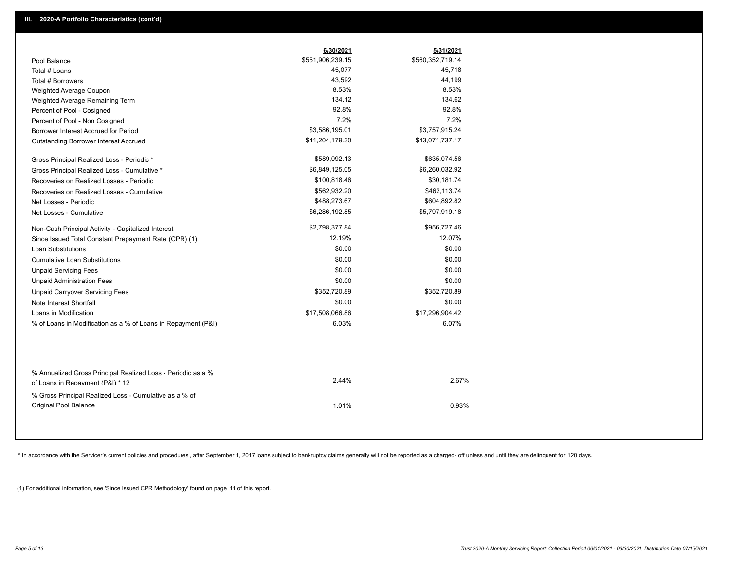|                                                               | 6/30/2021        | 5/31/2021        |
|---------------------------------------------------------------|------------------|------------------|
| Pool Balance                                                  | \$551,906,239.15 | \$560,352,719.14 |
| Total # Loans                                                 | 45,077           | 45,718           |
| Total # Borrowers                                             | 43,592           | 44,199           |
| Weighted Average Coupon                                       | 8.53%            | 8.53%            |
| Weighted Average Remaining Term                               | 134.12           | 134.62           |
| Percent of Pool - Cosigned                                    | 92.8%            | 92.8%            |
| Percent of Pool - Non Cosigned                                | 7.2%             | 7.2%             |
| Borrower Interest Accrued for Period                          | \$3,586,195.01   | \$3,757,915.24   |
| Outstanding Borrower Interest Accrued                         | \$41,204,179.30  | \$43,071,737.17  |
| Gross Principal Realized Loss - Periodic *                    | \$589,092.13     | \$635,074.56     |
| Gross Principal Realized Loss - Cumulative *                  | \$6,849,125.05   | \$6,260,032.92   |
| Recoveries on Realized Losses - Periodic                      | \$100,818.46     | \$30,181.74      |
| Recoveries on Realized Losses - Cumulative                    | \$562,932.20     | \$462,113.74     |
| Net Losses - Periodic                                         | \$488,273.67     | \$604,892.82     |
| Net Losses - Cumulative                                       | \$6,286,192.85   | \$5,797,919.18   |
| Non-Cash Principal Activity - Capitalized Interest            | \$2,798,377.84   | \$956,727.46     |
| Since Issued Total Constant Prepayment Rate (CPR) (1)         | 12.19%           | 12.07%           |
| <b>Loan Substitutions</b>                                     | \$0.00           | \$0.00           |
| <b>Cumulative Loan Substitutions</b>                          | \$0.00           | \$0.00           |
| <b>Unpaid Servicing Fees</b>                                  | \$0.00           | \$0.00           |
| <b>Unpaid Administration Fees</b>                             | \$0.00           | \$0.00           |
| <b>Unpaid Carryover Servicing Fees</b>                        | \$352,720.89     | \$352,720.89     |
| Note Interest Shortfall                                       | \$0.00           | \$0.00           |
| Loans in Modification                                         | \$17,508,066.86  | \$17,296,904.42  |
| % of Loans in Modification as a % of Loans in Repayment (P&I) | 6.03%            | 6.07%            |
|                                                               |                  |                  |
| % Annualized Gross Principal Realized Loss - Periodic as a %  | 2.44%            | 2.67%            |
| of Loans in Repayment (P&I) * 12                              |                  |                  |
| % Gross Principal Realized Loss - Cumulative as a % of        |                  |                  |
| Original Pool Balance                                         | 1.01%            | 0.93%            |

\* In accordance with the Servicer's current policies and procedures, after September 1, 2017 loans subject to bankruptcy claims generally will not be reported as a charged- off unless and until they are delinquent for 120

(1) For additional information, see 'Since Issued CPR Methodology' found on page 11 of this report.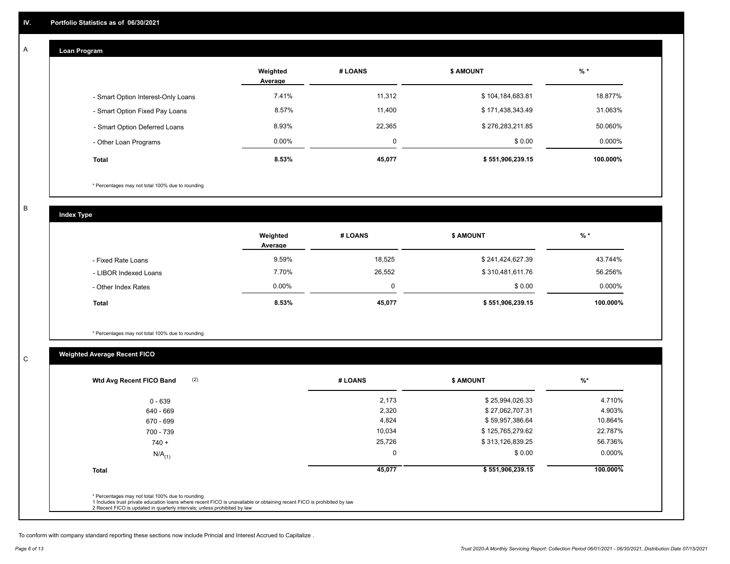#### **Loan Program**  A

|                                    | Weighted<br>Average | # LOANS | <b>\$ AMOUNT</b> | $%$ *    |
|------------------------------------|---------------------|---------|------------------|----------|
| - Smart Option Interest-Only Loans | 7.41%               | 11,312  | \$104,184,683.81 | 18.877%  |
| - Smart Option Fixed Pay Loans     | 8.57%               | 11,400  | \$171,438,343.49 | 31.063%  |
| - Smart Option Deferred Loans      | 8.93%               | 22,365  | \$276,283,211.85 | 50.060%  |
| - Other Loan Programs              | $0.00\%$            | 0       | \$0.00           | 0.000%   |
| <b>Total</b>                       | 8.53%               | 45,077  | \$551,906,239.15 | 100.000% |

\* Percentages may not total 100% due to rounding

B

C

**Index Type**

|                       | Weighted<br>Average | # LOANS | <b>S AMOUNT</b>  | $%$ *    |
|-----------------------|---------------------|---------|------------------|----------|
| - Fixed Rate Loans    | 9.59%               | 18,525  | \$241,424,627.39 | 43.744%  |
| - LIBOR Indexed Loans | 7.70%               | 26,552  | \$310,481,611.76 | 56.256%  |
| - Other Index Rates   | $0.00\%$            |         | \$0.00           | 0.000%   |
| <b>Total</b>          | 8.53%               | 45,077  | \$551,906,239.15 | 100.000% |

\* Percentages may not total 100% due to rounding

# **Weighted Average Recent FICO**

| $0 - 639$<br>640 - 669<br>670 - 699 | 2,173<br>2,320 | \$25,994,026.33<br>\$27,062,707.31 | 4.710%   |
|-------------------------------------|----------------|------------------------------------|----------|
|                                     |                |                                    |          |
|                                     |                |                                    | 4.903%   |
|                                     | 4,824          | \$59,957,386.64                    | 10.864%  |
| 700 - 739                           | 10,034         | \$125,765,279.62                   | 22.787%  |
| $740 +$                             | 25,726         | \$313,126,839.25                   | 56.736%  |
| $N/A$ <sub>(1)</sub>                |                | \$0.00                             | 0.000%   |
| <b>Total</b>                        | 45,077         | \$551,906,239.15                   | 100.000% |

To conform with company standard reporting these sections now include Princial and Interest Accrued to Capitalize .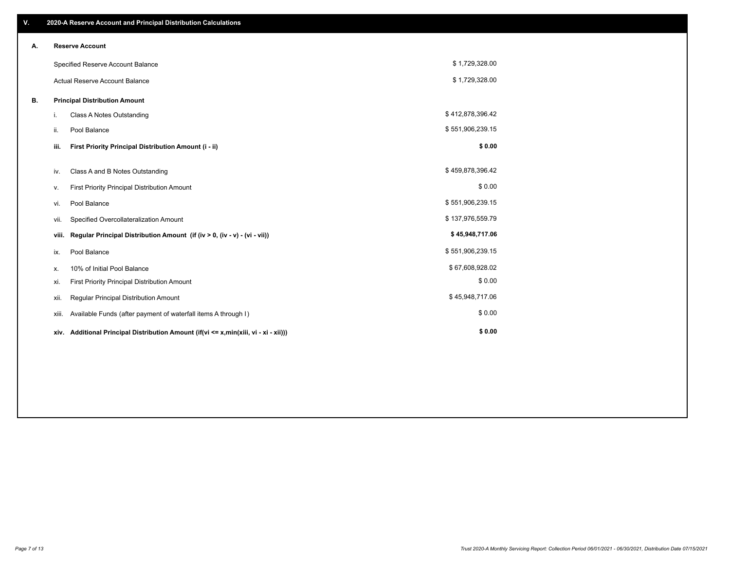| V. |       | 2020-A Reserve Account and Principal Distribution Calculations                       |                  |  |
|----|-------|--------------------------------------------------------------------------------------|------------------|--|
| А. |       | <b>Reserve Account</b>                                                               |                  |  |
|    |       | Specified Reserve Account Balance                                                    | \$1,729,328.00   |  |
|    |       | Actual Reserve Account Balance                                                       | \$1,729,328.00   |  |
| В. |       | <b>Principal Distribution Amount</b>                                                 |                  |  |
|    | i.    | Class A Notes Outstanding                                                            | \$412,878,396.42 |  |
|    | ii.   | Pool Balance                                                                         | \$551,906,239.15 |  |
|    | iii.  | First Priority Principal Distribution Amount (i - ii)                                | \$0.00           |  |
|    | iv.   | Class A and B Notes Outstanding                                                      | \$459,878,396.42 |  |
|    | ν.    | First Priority Principal Distribution Amount                                         | \$0.00           |  |
|    | vi.   | Pool Balance                                                                         | \$551,906,239.15 |  |
|    | vii.  | Specified Overcollateralization Amount                                               | \$137,976,559.79 |  |
|    | viii. | Regular Principal Distribution Amount (if (iv > 0, (iv - v) - (vi - vii))            | \$45,948,717.06  |  |
|    | ix.   | Pool Balance                                                                         | \$551,906,239.15 |  |
|    | х.    | 10% of Initial Pool Balance                                                          | \$67,608,928.02  |  |
|    | xi.   | First Priority Principal Distribution Amount                                         | \$0.00           |  |
|    | xii.  | Regular Principal Distribution Amount                                                | \$45,948,717.06  |  |
|    | xiii. | Available Funds (after payment of waterfall items A through I)                       | \$0.00           |  |
|    |       | xiv. Additional Principal Distribution Amount (if(vi <= x,min(xiii, vi - xi - xii))) | \$0.00           |  |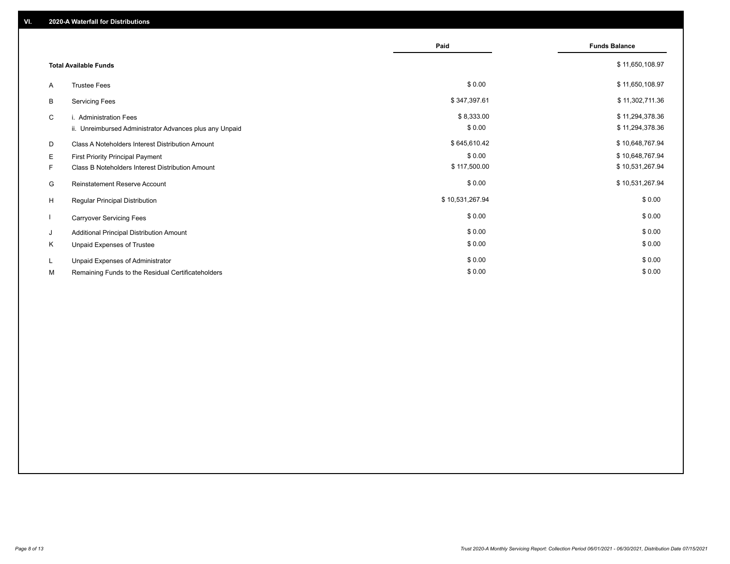|    |                                                         | Paid            | <b>Funds Balance</b> |
|----|---------------------------------------------------------|-----------------|----------------------|
|    | <b>Total Available Funds</b>                            |                 | \$11,650,108.97      |
| A  | <b>Trustee Fees</b>                                     | \$0.00          | \$11,650,108.97      |
| B  | <b>Servicing Fees</b>                                   | \$347,397.61    | \$11,302,711.36      |
| C  | i. Administration Fees                                  | \$8,333.00      | \$11,294,378.36      |
|    | ii. Unreimbursed Administrator Advances plus any Unpaid | \$0.00          | \$11,294,378.36      |
| D  | Class A Noteholders Interest Distribution Amount        | \$645,610.42    | \$10,648,767.94      |
| Е  | First Priority Principal Payment                        | \$0.00          | \$10,648,767.94      |
| F. | Class B Noteholders Interest Distribution Amount        | \$117,500.00    | \$10,531,267.94      |
| G  | <b>Reinstatement Reserve Account</b>                    | \$0.00          | \$10,531,267.94      |
| H  | Regular Principal Distribution                          | \$10,531,267.94 | \$0.00               |
|    | <b>Carryover Servicing Fees</b>                         | \$0.00          | \$0.00               |
| J  | Additional Principal Distribution Amount                | \$0.00          | \$0.00               |
| Κ  | Unpaid Expenses of Trustee                              | \$0.00          | \$0.00               |
| L  | Unpaid Expenses of Administrator                        | \$0.00          | \$0.00               |
| М  | Remaining Funds to the Residual Certificateholders      | \$0.00          | \$0.00               |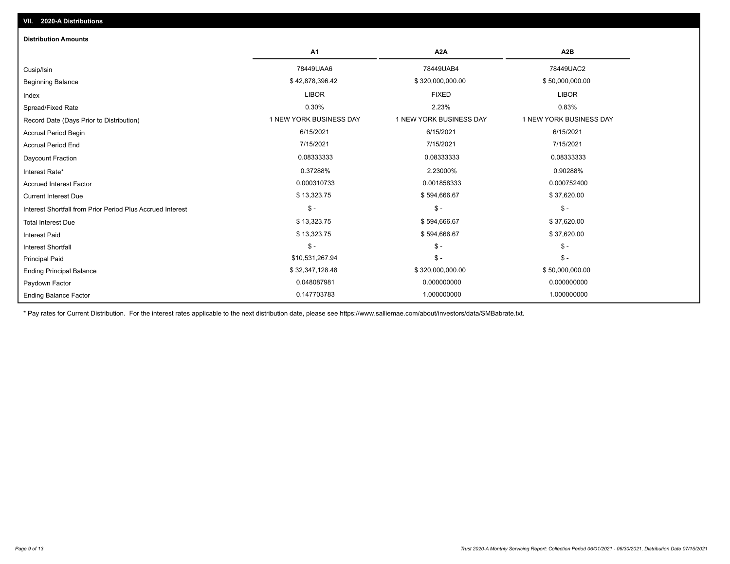| <b>Distribution Amounts</b>                                |                         |                         |                         |
|------------------------------------------------------------|-------------------------|-------------------------|-------------------------|
|                                                            | A1                      | A <sub>2</sub> A        | A2B                     |
| Cusip/Isin                                                 | 78449UAA6               | 78449UAB4               | 78449UAC2               |
| <b>Beginning Balance</b>                                   | \$42,878,396.42         | \$320,000,000.00        | \$50,000,000.00         |
| Index                                                      | <b>LIBOR</b>            | <b>FIXED</b>            | <b>LIBOR</b>            |
| Spread/Fixed Rate                                          | 0.30%                   | 2.23%                   | 0.83%                   |
| Record Date (Days Prior to Distribution)                   | 1 NEW YORK BUSINESS DAY | 1 NEW YORK BUSINESS DAY | 1 NEW YORK BUSINESS DAY |
| Accrual Period Begin                                       | 6/15/2021               | 6/15/2021               | 6/15/2021               |
| <b>Accrual Period End</b>                                  | 7/15/2021               | 7/15/2021               | 7/15/2021               |
| Daycount Fraction                                          | 0.08333333              | 0.08333333              | 0.08333333              |
| Interest Rate*                                             | 0.37288%                | 2.23000%                | 0.90288%                |
| <b>Accrued Interest Factor</b>                             | 0.000310733             | 0.001858333             | 0.000752400             |
| <b>Current Interest Due</b>                                | \$13,323.75             | \$594,666.67            | \$37,620.00             |
| Interest Shortfall from Prior Period Plus Accrued Interest | $\mathsf{\$}$ -         | $$ -$                   | $\mathsf{\$}$ -         |
| <b>Total Interest Due</b>                                  | \$13,323.75             | \$594,666.67            | \$37,620.00             |
| <b>Interest Paid</b>                                       | \$13,323.75             | \$594,666.67            | \$37,620.00             |
| Interest Shortfall                                         | $\frac{1}{2}$           | $$ -$                   | $\mathcal{S}$ -         |
| <b>Principal Paid</b>                                      | \$10,531,267.94         | $\mathsf{\$}$ -         | $$ -$                   |
| <b>Ending Principal Balance</b>                            | \$32,347,128.48         | \$320,000,000.00        | \$50,000,000.00         |
| Paydown Factor                                             | 0.048087981             | 0.000000000             | 0.000000000             |
| <b>Ending Balance Factor</b>                               | 0.147703783             | 1.000000000             | 1.000000000             |

\* Pay rates for Current Distribution. For the interest rates applicable to the next distribution date, please see https://www.salliemae.com/about/investors/data/SMBabrate.txt.

**VII. 2020-A Distributions**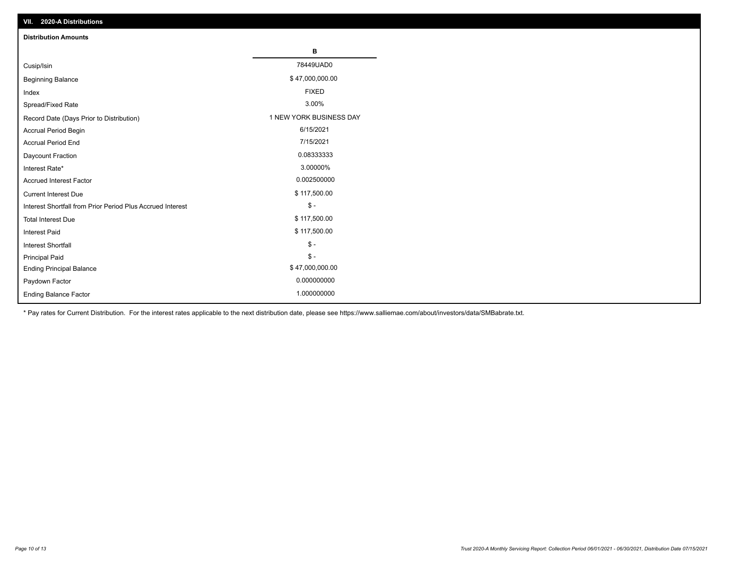| VII. 2020-A Distributions                                  |                         |
|------------------------------------------------------------|-------------------------|
| <b>Distribution Amounts</b>                                |                         |
|                                                            | в                       |
| Cusip/Isin                                                 | 78449UAD0               |
| <b>Beginning Balance</b>                                   | \$47,000,000.00         |
| Index                                                      | <b>FIXED</b>            |
| Spread/Fixed Rate                                          | 3.00%                   |
| Record Date (Days Prior to Distribution)                   | 1 NEW YORK BUSINESS DAY |
| Accrual Period Begin                                       | 6/15/2021               |
| <b>Accrual Period End</b>                                  | 7/15/2021               |
| Daycount Fraction                                          | 0.08333333              |
| Interest Rate*                                             | 3.00000%                |
| Accrued Interest Factor                                    | 0.002500000             |
| <b>Current Interest Due</b>                                | \$117,500.00            |
| Interest Shortfall from Prior Period Plus Accrued Interest | $\mathsf{\$}$ -         |
| <b>Total Interest Due</b>                                  | \$117,500.00            |
| <b>Interest Paid</b>                                       | \$117,500.00            |
| Interest Shortfall                                         | $\mathcal{S}$ -         |
| <b>Principal Paid</b>                                      | $\mathcal{S}$ -         |
| <b>Ending Principal Balance</b>                            | \$47,000,000.00         |
| Paydown Factor                                             | 0.000000000             |
| <b>Ending Balance Factor</b>                               | 1.000000000             |

\* Pay rates for Current Distribution. For the interest rates applicable to the next distribution date, please see https://www.salliemae.com/about/investors/data/SMBabrate.txt.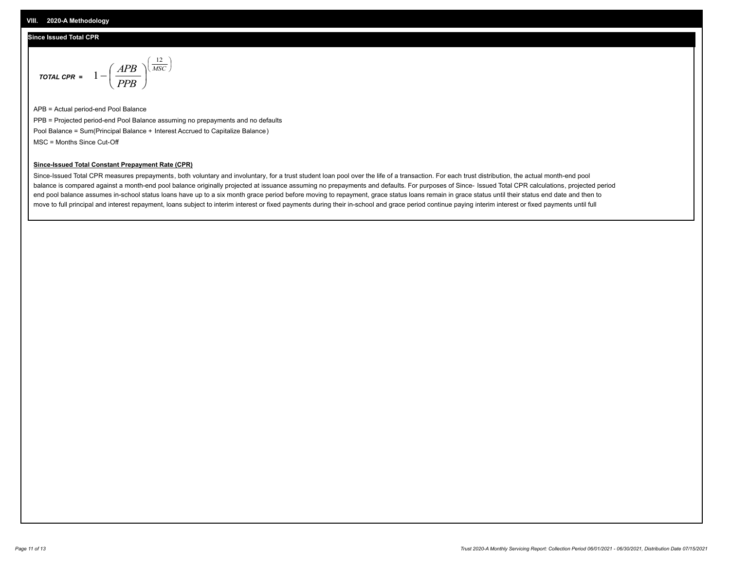### **Since Issued Total CPR**

$$
\text{total CPR} = 1 - \left(\frac{APB}{PPB}\right)^{\left(\frac{12}{MSC}\right)}
$$

APB = Actual period-end Pool Balance PPB = Projected period-end Pool Balance assuming no prepayments and no defaults Pool Balance = Sum(Principal Balance + Interest Accrued to Capitalize Balance) MSC = Months Since Cut-Off

### **Since-Issued Total Constant Prepayment Rate (CPR)**

Since-Issued Total CPR measures prepayments, both voluntary and involuntary, for a trust student loan pool over the life of a transaction. For each trust distribution, the actual month-end pool balance is compared against a month-end pool balance originally projected at issuance assuming no prepayments and defaults. For purposes of Since- Issued Total CPR calculations, projected period end pool balance assumes in-school status loans have up to a six month grace period before moving to repayment, grace status loans remain in grace status until their status end date and then to move to full principal and interest repayment, loans subject to interim interest or fixed payments during their in-school and grace period continue paying interim interest or fixed payments until full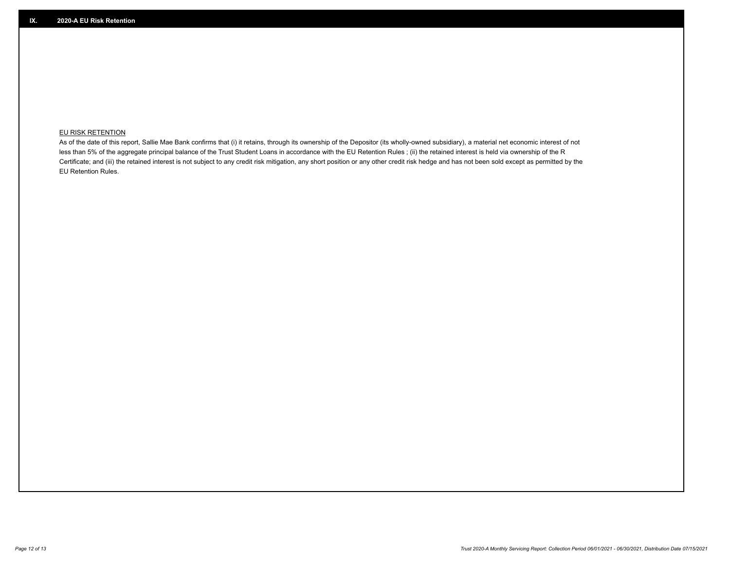## **EU RISK RETENTION**

As of the date of this report, Sallie Mae Bank confirms that (i) it retains, through its ownership of the Depositor (its wholly-owned subsidiary), a material net economic interest of not less than 5% of the aggregate principal balance of the Trust Student Loans in accordance with the EU Retention Rules ; (ii) the retained interest is held via ownership of the R Certificate; and (iii) the retained interest is not subject to any credit risk mitigation, any short position or any other credit risk hedge and has not been sold except as permitted by the EU Retention Rules.